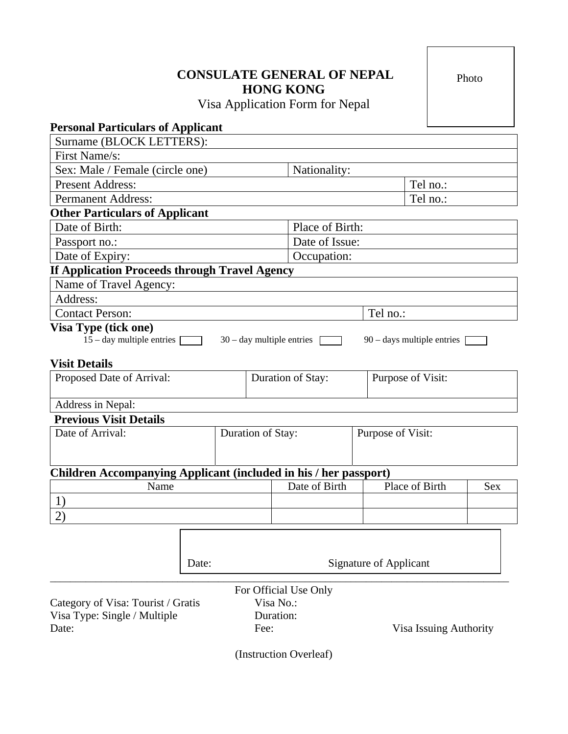# **CONSULATE GENERAL OF NEPAL HONG KONG**

Visa Application Form for Nepal

| Nationality:                                  |                                                    |                                                                                                                                                                      |  |
|-----------------------------------------------|----------------------------------------------------|----------------------------------------------------------------------------------------------------------------------------------------------------------------------|--|
| Tel no.:                                      |                                                    |                                                                                                                                                                      |  |
| <b>Permanent Address:</b>                     |                                                    | Tel no.:                                                                                                                                                             |  |
|                                               |                                                    |                                                                                                                                                                      |  |
| Place of Birth:                               |                                                    |                                                                                                                                                                      |  |
| Date of Issue:                                |                                                    |                                                                                                                                                                      |  |
| Occupation:                                   |                                                    |                                                                                                                                                                      |  |
| If Application Proceeds through Travel Agency |                                                    |                                                                                                                                                                      |  |
|                                               |                                                    |                                                                                                                                                                      |  |
|                                               |                                                    |                                                                                                                                                                      |  |
| Tel no.:<br>Visa Type (tick one)              |                                                    |                                                                                                                                                                      |  |
| Duration of Stay:                             | Purpose of Visit:                                  |                                                                                                                                                                      |  |
|                                               |                                                    |                                                                                                                                                                      |  |
|                                               |                                                    |                                                                                                                                                                      |  |
|                                               |                                                    |                                                                                                                                                                      |  |
|                                               |                                                    |                                                                                                                                                                      |  |
| Date of Birth                                 | Place of Birth                                     | <b>Sex</b>                                                                                                                                                           |  |
|                                               |                                                    |                                                                                                                                                                      |  |
|                                               |                                                    |                                                                                                                                                                      |  |
|                                               |                                                    |                                                                                                                                                                      |  |
|                                               | $30 - day$ multiple entries [<br>Duration of Stay: | $90 - \text{days}$ multiple entries<br>Purpose of Visit:<br><b>Children Accompanying Applicant (included in his / her passport)</b><br><b>Signature of Applicant</b> |  |

Category of Visa: Tourist / Gratis Visa No.: Visa Type: Single / Multiple Duration:<br>Date: Fee:

Pee: Visa Issuing Authority

Photo

(Instruction Overleaf)